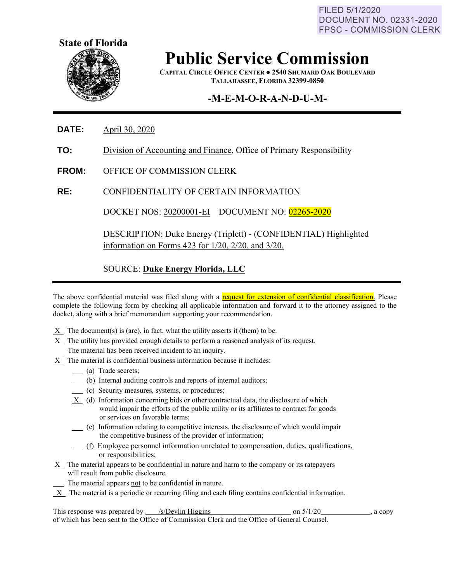FILED 5/1/2020 **DOCUMENT NO. 02331-2020 FPSC - COMMISSION CLERK** 



## **Public Service Commission**

**CAPITAL CIRCLE OFFICE CENTER ● 2540 SHUMARD OAK BOULEVARD TALLAHASSEE, FLORIDA 32399-0850**

## **-M-E-M-O-R-A-N-D-U-M-**

**DATE:** April 30, 2020

- **TO:** Division of Accounting and Finance, Office of Primary Responsibility
- **FROM:** OFFICE OF COMMISSION CLERK

**RE:** CONFIDENTIALITY OF CERTAIN INFORMATION

DOCKET NOS: 20200001-EI DOCUMENT NO: 02265-2020

DESCRIPTION: Duke Energy (Triplett) - (CONFIDENTIAL) Highlighted information on Forms 423 for 1/20, 2/20, and 3/20.

SOURCE: **Duke Energy Florida, LLC**

The above confidential material was filed along with a request for extension of confidential classification. Please complete the following form by checking all applicable information and forward it to the attorney assigned to the docket, along with a brief memorandum supporting your recommendation.

- $X$  The document(s) is (are), in fact, what the utility asserts it (them) to be.
- X The utility has provided enough details to perform a reasoned analysis of its request.
- The material has been received incident to an inquiry.
- $X$  The material is confidential business information because it includes:
	- (a) Trade secrets;
	- (b) Internal auditing controls and reports of internal auditors;
	- (c) Security measures, systems, or procedures;
	- X (d) Information concerning bids or other contractual data, the disclosure of which would impair the efforts of the public utility or its affiliates to contract for goods or services on favorable terms;
	- (e) Information relating to competitive interests, the disclosure of which would impair the competitive business of the provider of information;
	- (f) Employee personnel information unrelated to compensation, duties, qualifications, or responsibilities;
- X The material appears to be confidential in nature and harm to the company or its ratepayers will result from public disclosure.
	- The material appears not to be confidential in nature.
- $X$  The material is a periodic or recurring filing and each filing contains confidential information.

This response was prepared by /s/Devlin Higgins on 5/1/20 on 5/1/20 , a copy of which has been sent to the Office of Commission Clerk and the Office of General Counsel.